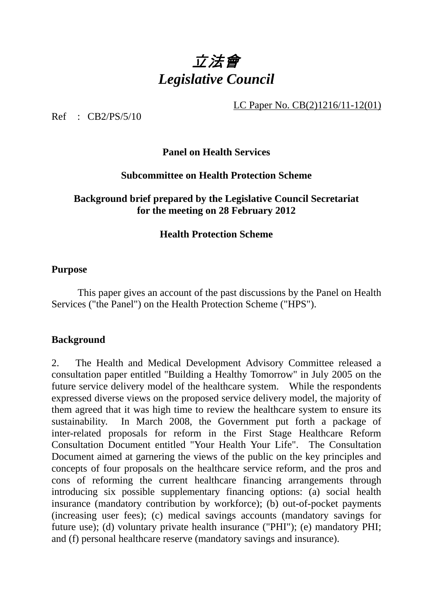

LC Paper No. CB(2)1216/11-12(01)

Ref : CB2/PS/5/10

### **Panel on Health Services**

### **Subcommittee on Health Protection Scheme**

#### **Background brief prepared by the Legislative Council Secretariat for the meeting on 28 February 2012**

#### **Health Protection Scheme**

#### **Purpose**

 This paper gives an account of the past discussions by the Panel on Health Services ("the Panel") on the Health Protection Scheme ("HPS").

#### **Background**

2. The Health and Medical Development Advisory Committee released a consultation paper entitled "Building a Healthy Tomorrow" in July 2005 on the future service delivery model of the healthcare system. While the respondents expressed diverse views on the proposed service delivery model, the majority of them agreed that it was high time to review the healthcare system to ensure its sustainability. In March 2008, the Government put forth a package of inter-related proposals for reform in the First Stage Healthcare Reform Consultation Document entitled "Your Health Your Life". The Consultation Document aimed at garnering the views of the public on the key principles and concepts of four proposals on the healthcare service reform, and the pros and cons of reforming the current healthcare financing arrangements through introducing six possible supplementary financing options: (a) social health insurance (mandatory contribution by workforce); (b) out-of-pocket payments (increasing user fees); (c) medical savings accounts (mandatory savings for future use); (d) voluntary private health insurance ("PHI"); (e) mandatory PHI; and (f) personal healthcare reserve (mandatory savings and insurance).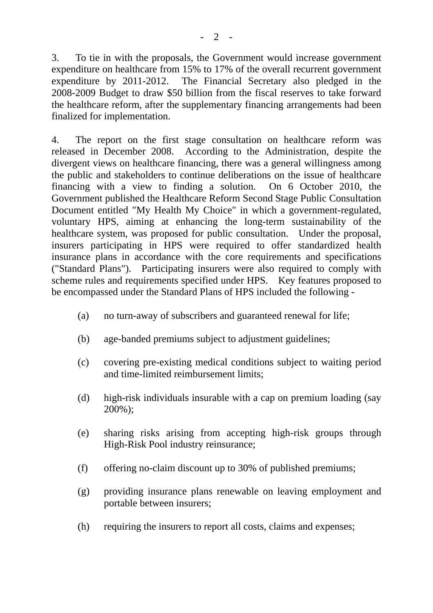3. To tie in with the proposals, the Government would increase government expenditure on healthcare from 15% to 17% of the overall recurrent government expenditure by 2011-2012. The Financial Secretary also pledged in the 2008-2009 Budget to draw \$50 billion from the fiscal reserves to take forward the healthcare reform, after the supplementary financing arrangements had been finalized for implementation.

4. The report on the first stage consultation on healthcare reform was released in December 2008. According to the Administration, despite the divergent views on healthcare financing, there was a general willingness among the public and stakeholders to continue deliberations on the issue of healthcare financing with a view to finding a solution. On 6 October 2010, the Government published the Healthcare Reform Second Stage Public Consultation Document entitled "My Health My Choice" in which a government-regulated, voluntary HPS, aiming at enhancing the long-term sustainability of the healthcare system, was proposed for public consultation. Under the proposal, insurers participating in HPS were required to offer standardized health insurance plans in accordance with the core requirements and specifications ("Standard Plans"). Participating insurers were also required to comply with scheme rules and requirements specified under HPS. Key features proposed to be encompassed under the Standard Plans of HPS included the following -

- (a) no turn-away of subscribers and guaranteed renewal for life;
- (b) age-banded premiums subject to adjustment guidelines;
- (c) covering pre-existing medical conditions subject to waiting period and time-limited reimbursement limits;
- (d) high-risk individuals insurable with a cap on premium loading (say 200%);
- (e) sharing risks arising from accepting high-risk groups through High-Risk Pool industry reinsurance;
- (f) offering no-claim discount up to 30% of published premiums;
- (g) providing insurance plans renewable on leaving employment and portable between insurers;
- (h) requiring the insurers to report all costs, claims and expenses;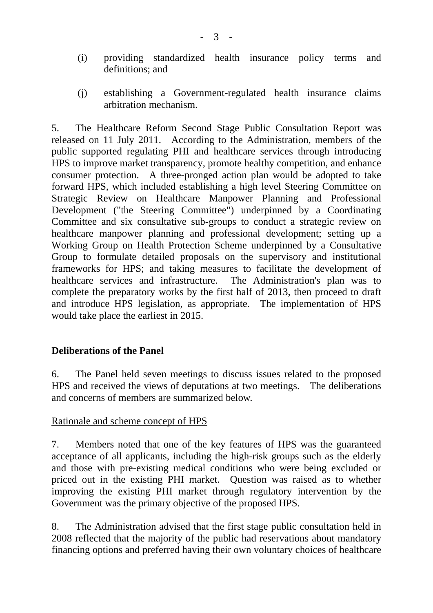- (i) providing standardized health insurance policy terms and definitions; and
- (j) establishing a Government-regulated health insurance claims arbitration mechanism.

5. The Healthcare Reform Second Stage Public Consultation Report was released on 11 July 2011. According to the Administration, members of the public supported regulating PHI and healthcare services through introducing HPS to improve market transparency, promote healthy competition, and enhance consumer protection. A three-pronged action plan would be adopted to take forward HPS, which included establishing a high level Steering Committee on Strategic Review on Healthcare Manpower Planning and Professional Development ("the Steering Committee") underpinned by a Coordinating Committee and six consultative sub-groups to conduct a strategic review on healthcare manpower planning and professional development; setting up a Working Group on Health Protection Scheme underpinned by a Consultative Group to formulate detailed proposals on the supervisory and institutional frameworks for HPS; and taking measures to facilitate the development of healthcare services and infrastructure. The Administration's plan was to complete the preparatory works by the first half of 2013, then proceed to draft and introduce HPS legislation, as appropriate. The implementation of HPS would take place the earliest in 2015.

## **Deliberations of the Panel**

6. The Panel held seven meetings to discuss issues related to the proposed HPS and received the views of deputations at two meetings. The deliberations and concerns of members are summarized below.

### Rationale and scheme concept of HPS

7. Members noted that one of the key features of HPS was the guaranteed acceptance of all applicants, including the high-risk groups such as the elderly and those with pre-existing medical conditions who were being excluded or priced out in the existing PHI market. Question was raised as to whether improving the existing PHI market through regulatory intervention by the Government was the primary objective of the proposed HPS.

8. The Administration advised that the first stage public consultation held in 2008 reflected that the majority of the public had reservations about mandatory financing options and preferred having their own voluntary choices of healthcare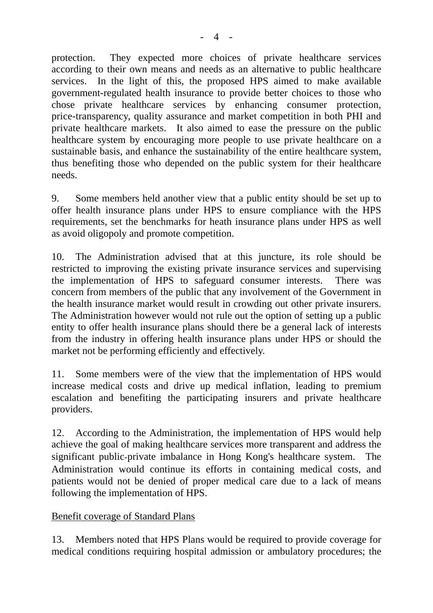protection. They expected more choices of private healthcare services according to their own means and needs as an alternative to public healthcare services. In the light of this, the proposed HPS aimed to make available government-regulated health insurance to provide better choices to those who chose private healthcare services by enhancing consumer protection, price-transparency, quality assurance and market competition in both PHI and private healthcare markets. It also aimed to ease the pressure on the public healthcare system by encouraging more people to use private healthcare on a sustainable basis, and enhance the sustainability of the entire healthcare system, thus benefiting those who depended on the public system for their healthcare needs.

9. Some members held another view that a public entity should be set up to offer health insurance plans under HPS to ensure compliance with the HPS requirements, set the benchmarks for heath insurance plans under HPS as well as avoid oligopoly and promote competition.

10. The Administration advised that at this juncture, its role should be restricted to improving the existing private insurance services and supervising the implementation of HPS to safeguard consumer interests. There was concern from members of the public that any involvement of the Government in the health insurance market would result in crowding out other private insurers. The Administration however would not rule out the option of setting up a public entity to offer health insurance plans should there be a general lack of interests from the industry in offering health insurance plans under HPS or should the market not be performing efficiently and effectively.

11. Some members were of the view that the implementation of HPS would increase medical costs and drive up medical inflation, leading to premium escalation and benefiting the participating insurers and private healthcare providers.

12. According to the Administration, the implementation of HPS would help achieve the goal of making healthcare services more transparent and address the significant public‐private imbalance in Hong Kong's healthcare system. The Administration would continue its efforts in containing medical costs, and patients would not be denied of proper medical care due to a lack of means following the implementation of HPS.

## Benefit coverage of Standard Plans

13. Members noted that HPS Plans would be required to provide coverage for medical conditions requiring hospital admission or ambulatory procedures; the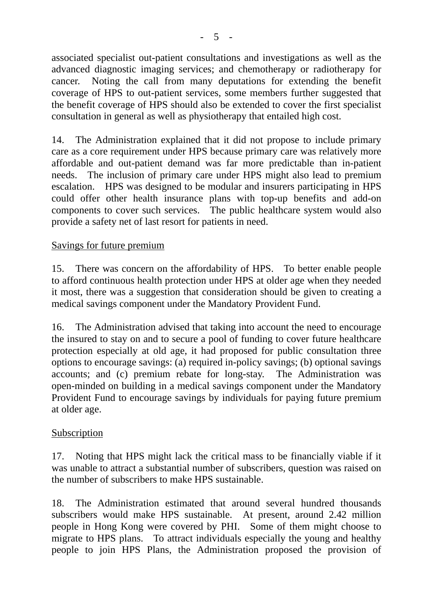associated specialist out-patient consultations and investigations as well as the advanced diagnostic imaging services; and chemotherapy or radiotherapy for cancer. Noting the call from many deputations for extending the benefit coverage of HPS to out-patient services, some members further suggested that the benefit coverage of HPS should also be extended to cover the first specialist consultation in general as well as physiotherapy that entailed high cost.

14. The Administration explained that it did not propose to include primary care as a core requirement under HPS because primary care was relatively more affordable and out-patient demand was far more predictable than in-patient needs. The inclusion of primary care under HPS might also lead to premium escalation. HPS was designed to be modular and insurers participating in HPS could offer other health insurance plans with top-up benefits and add-on components to cover such services. The public healthcare system would also provide a safety net of last resort for patients in need.

## Savings for future premium

15. There was concern on the affordability of HPS. To better enable people to afford continuous health protection under HPS at older age when they needed it most, there was a suggestion that consideration should be given to creating a medical savings component under the Mandatory Provident Fund.

16. The Administration advised that taking into account the need to encourage the insured to stay on and to secure a pool of funding to cover future healthcare protection especially at old age, it had proposed for public consultation three options to encourage savings: (a) required in-policy savings; (b) optional savings accounts; and (c) premium rebate for long-stay. The Administration was open-minded on building in a medical savings component under the Mandatory Provident Fund to encourage savings by individuals for paying future premium at older age.

### Subscription

17. Noting that HPS might lack the critical mass to be financially viable if it was unable to attract a substantial number of subscribers, question was raised on the number of subscribers to make HPS sustainable.

18. The Administration estimated that around several hundred thousands subscribers would make HPS sustainable. At present, around 2.42 million people in Hong Kong were covered by PHI. Some of them might choose to migrate to HPS plans. To attract individuals especially the young and healthy people to join HPS Plans, the Administration proposed the provision of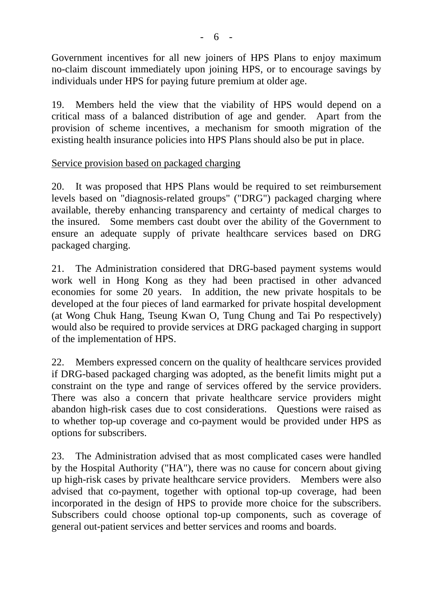Government incentives for all new joiners of HPS Plans to enjoy maximum no-claim discount immediately upon joining HPS, or to encourage savings by individuals under HPS for paying future premium at older age.

19. Members held the view that the viability of HPS would depend on a critical mass of a balanced distribution of age and gender. Apart from the provision of scheme incentives, a mechanism for smooth migration of the existing health insurance policies into HPS Plans should also be put in place.

## Service provision based on packaged charging

20. It was proposed that HPS Plans would be required to set reimbursement levels based on "diagnosis-related groups" ("DRG") packaged charging where available, thereby enhancing transparency and certainty of medical charges to the insured. Some members cast doubt over the ability of the Government to ensure an adequate supply of private healthcare services based on DRG packaged charging.

21. The Administration considered that DRG-based payment systems would work well in Hong Kong as they had been practised in other advanced economies for some 20 years. In addition, the new private hospitals to be developed at the four pieces of land earmarked for private hospital development (at Wong Chuk Hang, Tseung Kwan O, Tung Chung and Tai Po respectively) would also be required to provide services at DRG packaged charging in support of the implementation of HPS.

22. Members expressed concern on the quality of healthcare services provided if DRG-based packaged charging was adopted, as the benefit limits might put a constraint on the type and range of services offered by the service providers. There was also a concern that private healthcare service providers might abandon high-risk cases due to cost considerations. Questions were raised as to whether top-up coverage and co-payment would be provided under HPS as options for subscribers.

23. The Administration advised that as most complicated cases were handled by the Hospital Authority ("HA"), there was no cause for concern about giving up high-risk cases by private healthcare service providers. Members were also advised that co-payment, together with optional top-up coverage, had been incorporated in the design of HPS to provide more choice for the subscribers. Subscribers could choose optional top-up components, such as coverage of general out-patient services and better services and rooms and boards.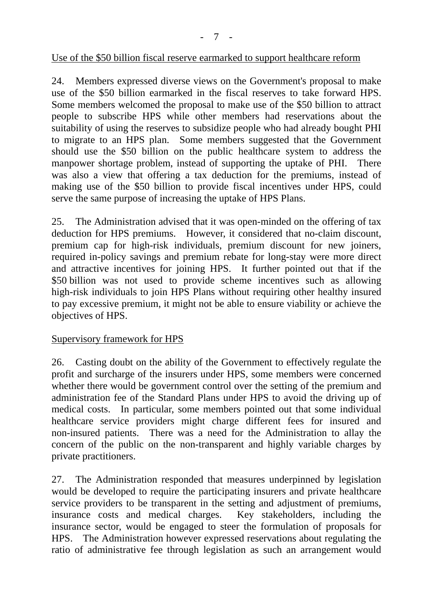- 7 -

#### Use of the \$50 billion fiscal reserve earmarked to support healthcare reform

24. Members expressed diverse views on the Government's proposal to make use of the \$50 billion earmarked in the fiscal reserves to take forward HPS. Some members welcomed the proposal to make use of the \$50 billion to attract people to subscribe HPS while other members had reservations about the suitability of using the reserves to subsidize people who had already bought PHI to migrate to an HPS plan. Some members suggested that the Government should use the \$50 billion on the public healthcare system to address the manpower shortage problem, instead of supporting the uptake of PHI. There was also a view that offering a tax deduction for the premiums, instead of making use of the \$50 billion to provide fiscal incentives under HPS, could serve the same purpose of increasing the uptake of HPS Plans.

25. The Administration advised that it was open-minded on the offering of tax deduction for HPS premiums. However, it considered that no-claim discount, premium cap for high-risk individuals, premium discount for new joiners, required in-policy savings and premium rebate for long-stay were more direct and attractive incentives for joining HPS. It further pointed out that if the \$50 billion was not used to provide scheme incentives such as allowing high-risk individuals to join HPS Plans without requiring other healthy insured to pay excessive premium, it might not be able to ensure viability or achieve the objectives of HPS.

### Supervisory framework for HPS

26. Casting doubt on the ability of the Government to effectively regulate the profit and surcharge of the insurers under HPS, some members were concerned whether there would be government control over the setting of the premium and administration fee of the Standard Plans under HPS to avoid the driving up of medical costs. In particular, some members pointed out that some individual healthcare service providers might charge different fees for insured and non-insured patients. There was a need for the Administration to allay the concern of the public on the non-transparent and highly variable charges by private practitioners.

27. The Administration responded that measures underpinned by legislation would be developed to require the participating insurers and private healthcare service providers to be transparent in the setting and adjustment of premiums, insurance costs and medical charges. Key stakeholders, including the insurance sector, would be engaged to steer the formulation of proposals for HPS. The Administration however expressed reservations about regulating the ratio of administrative fee through legislation as such an arrangement would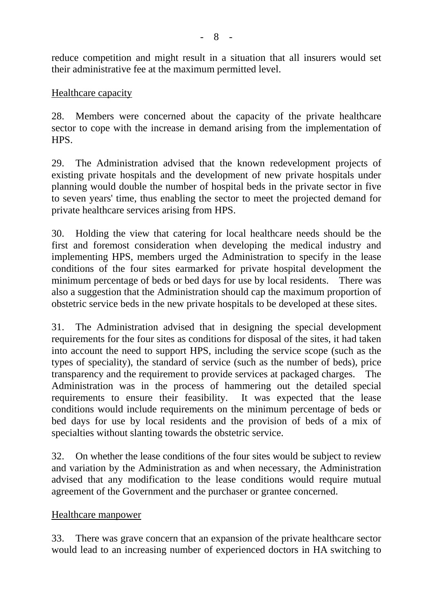reduce competition and might result in a situation that all insurers would set their administrative fee at the maximum permitted level.

Healthcare capacity

28. Members were concerned about the capacity of the private healthcare sector to cope with the increase in demand arising from the implementation of HPS.

29. The Administration advised that the known redevelopment projects of existing private hospitals and the development of new private hospitals under planning would double the number of hospital beds in the private sector in five to seven years' time, thus enabling the sector to meet the projected demand for private healthcare services arising from HPS.

30. Holding the view that catering for local healthcare needs should be the first and foremost consideration when developing the medical industry and implementing HPS, members urged the Administration to specify in the lease conditions of the four sites earmarked for private hospital development the minimum percentage of beds or bed days for use by local residents. There was also a suggestion that the Administration should cap the maximum proportion of obstetric service beds in the new private hospitals to be developed at these sites.

31. The Administration advised that in designing the special development requirements for the four sites as conditions for disposal of the sites, it had taken into account the need to support HPS, including the service scope (such as the types of speciality), the standard of service (such as the number of beds), price transparency and the requirement to provide services at packaged charges. The Administration was in the process of hammering out the detailed special requirements to ensure their feasibility. It was expected that the lease conditions would include requirements on the minimum percentage of beds or bed days for use by local residents and the provision of beds of a mix of specialties without slanting towards the obstetric service.

32. On whether the lease conditions of the four sites would be subject to review and variation by the Administration as and when necessary, the Administration advised that any modification to the lease conditions would require mutual agreement of the Government and the purchaser or grantee concerned.

Healthcare manpower

33. There was grave concern that an expansion of the private healthcare sector would lead to an increasing number of experienced doctors in HA switching to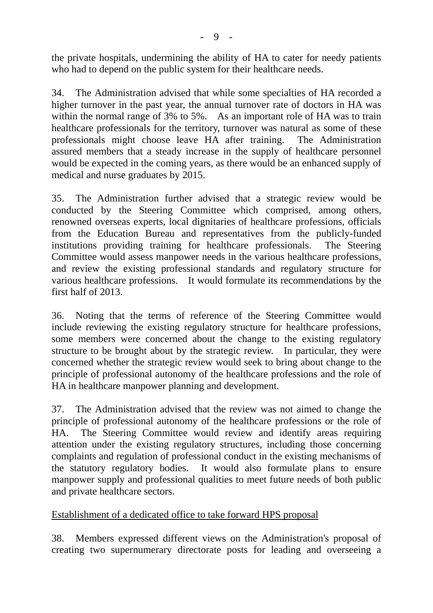the private hospitals, undermining the ability of HA to cater for needy patients who had to depend on the public system for their healthcare needs.

34. The Administration advised that while some specialties of HA recorded a higher turnover in the past year, the annual turnover rate of doctors in HA was within the normal range of 3% to 5%. As an important role of HA was to train healthcare professionals for the territory, turnover was natural as some of these professionals might choose leave HA after training. The Administration assured members that a steady increase in the supply of healthcare personnel would be expected in the coming years, as there would be an enhanced supply of medical and nurse graduates by 2015.

35. The Administration further advised that a strategic review would be conducted by the Steering Committee which comprised, among others, renowned overseas experts, local dignitaries of healthcare professions, officials from the Education Bureau and representatives from the publicly-funded institutions providing training for healthcare professionals. The Steering Committee would assess manpower needs in the various healthcare professions, and review the existing professional standards and regulatory structure for various healthcare professions. It would formulate its recommendations by the first half of 2013.

36. Noting that the terms of reference of the Steering Committee would include reviewing the existing regulatory structure for healthcare professions, some members were concerned about the change to the existing regulatory structure to be brought about by the strategic review. In particular, they were concerned whether the strategic review would seek to bring about change to the principle of professional autonomy of the healthcare professions and the role of HA in healthcare manpower planning and development.

37. The Administration advised that the review was not aimed to change the principle of professional autonomy of the healthcare professions or the role of HA. The Steering Committee would review and identify areas requiring attention under the existing regulatory structures, including those concerning complaints and regulation of professional conduct in the existing mechanisms of the statutory regulatory bodies. It would also formulate plans to ensure manpower supply and professional qualities to meet future needs of both public and private healthcare sectors.

### Establishment of a dedicated office to take forward HPS proposal

38. Members expressed different views on the Administration's proposal of creating two supernumerary directorate posts for leading and overseeing a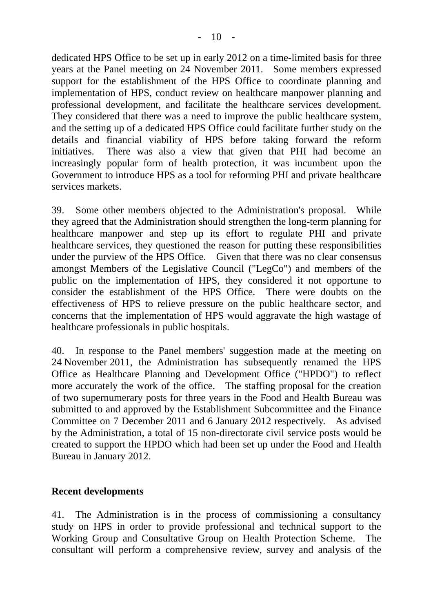dedicated HPS Office to be set up in early 2012 on a time-limited basis for three years at the Panel meeting on 24 November 2011. Some members expressed support for the establishment of the HPS Office to coordinate planning and implementation of HPS, conduct review on healthcare manpower planning and professional development, and facilitate the healthcare services development. They considered that there was a need to improve the public healthcare system, and the setting up of a dedicated HPS Office could facilitate further study on the details and financial viability of HPS before taking forward the reform initiatives. There was also a view that given that PHI had become an increasingly popular form of health protection, it was incumbent upon the Government to introduce HPS as a tool for reforming PHI and private healthcare services markets.

39. Some other members objected to the Administration's proposal. While they agreed that the Administration should strengthen the long-term planning for healthcare manpower and step up its effort to regulate PHI and private healthcare services, they questioned the reason for putting these responsibilities under the purview of the HPS Office. Given that there was no clear consensus amongst Members of the Legislative Council ("LegCo") and members of the public on the implementation of HPS, they considered it not opportune to consider the establishment of the HPS Office. There were doubts on the effectiveness of HPS to relieve pressure on the public healthcare sector, and concerns that the implementation of HPS would aggravate the high wastage of healthcare professionals in public hospitals.

40. In response to the Panel members' suggestion made at the meeting on 24 November 2011, the Administration has subsequently renamed the HPS Office as Healthcare Planning and Development Office ("HPDO") to reflect more accurately the work of the office. The staffing proposal for the creation of two supernumerary posts for three years in the Food and Health Bureau was submitted to and approved by the Establishment Subcommittee and the Finance Committee on 7 December 2011 and 6 January 2012 respectively. As advised by the Administration, a total of 15 non-directorate civil service posts would be created to support the HPDO which had been set up under the Food and Health Bureau in January 2012.

### **Recent developments**

41. The Administration is in the process of commissioning a consultancy study on HPS in order to provide professional and technical support to the Working Group and Consultative Group on Health Protection Scheme. The consultant will perform a comprehensive review, survey and analysis of the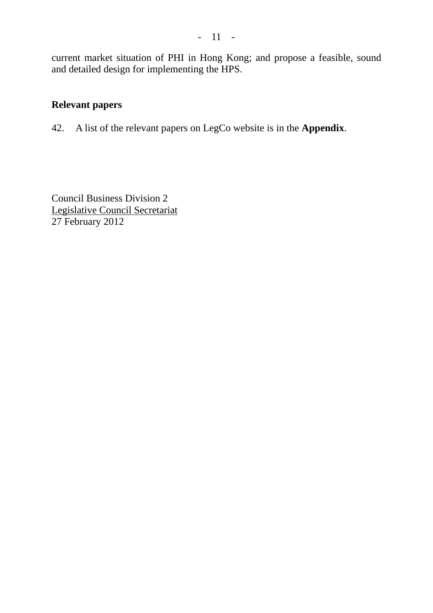current market situation of PHI in Hong Kong; and propose a feasible, sound and detailed design for implementing the HPS.

## **Relevant papers**

42. A list of the relevant papers on LegCo website is in the **Appendix**.

Council Business Division 2 Legislative Council Secretariat 27 February 2012